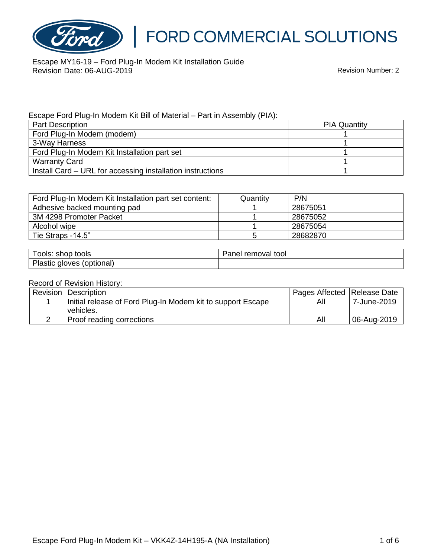

Escape MY16-19 – Ford Plug-In Modem Kit Installation Guide Revision Date: 06-AUG-2019

#### Escape Ford Plug-In Modem Kit Bill of Material – Part in Assembly (PIA):

| <b>Part Description</b>                                    | <b>PIA Quantity</b> |
|------------------------------------------------------------|---------------------|
| Ford Plug-In Modem (modem)                                 |                     |
| 3-Way Harness                                              |                     |
| Ford Plug-In Modem Kit Installation part set               |                     |
| <b>Warranty Card</b>                                       |                     |
| Install Card - URL for accessing installation instructions |                     |

| Ford Plug-In Modem Kit Installation part set content: | Quantitv | P/N      |
|-------------------------------------------------------|----------|----------|
| Adhesive backed mounting pad                          |          | 28675051 |
| 3M 4298 Promoter Packet                               |          | 28675052 |
| Alcohol wipe                                          |          | 28675054 |
| Tie Straps -14.5"                                     |          | 28682870 |

| Fools: shop tools         | Panel removal tool |
|---------------------------|--------------------|
| Plastic gloves (optional) |                    |

#### Record of Revision History:

| Revision   Description                                      | Pages Affected   Release Date |             |
|-------------------------------------------------------------|-------------------------------|-------------|
| Initial release of Ford Plug-In Modem kit to support Escape | All                           | 7-June-2019 |
| vehicles.                                                   |                               |             |
| Proof reading corrections                                   | All                           | 06-Aug-2019 |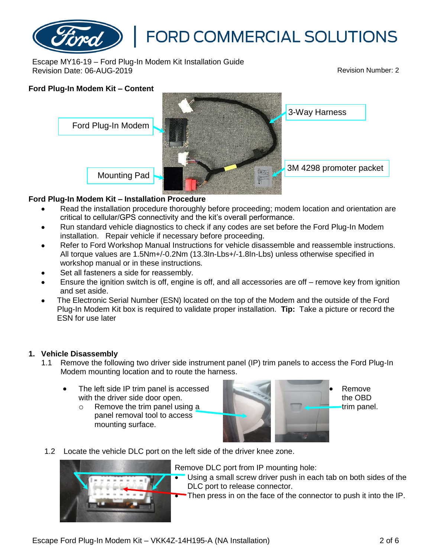

Escape MY16-19 – Ford Plug-In Modem Kit Installation Guide Revision Date: 06-AUG-2019

#### **Ford Plug-In Modem Kit – Content**



#### **Ford Plug-In Modem Kit – Installation Procedure**

- Read the installation procedure thoroughly before proceeding; modem location and orientation are critical to cellular/GPS connectivity and the kit's overall performance.
- Run standard vehicle diagnostics to check if any codes are set before the Ford Plug-In Modem installation. Repair vehicle if necessary before proceeding.
- Refer to Ford Workshop Manual Instructions for vehicle disassemble and reassemble instructions. All torque values are 1.5Nm+/-0.2Nm (13.3In-Lbs+/-1.8In-Lbs) unless otherwise specified in workshop manual or in these instructions.
- Set all fasteners a side for reassembly.
- Ensure the ignition switch is off, engine is off, and all accessories are off remove key from ignition and set aside.
- The Electronic Serial Number (ESN) located on the top of the Modem and the outside of the Ford Plug-In Modem Kit box is required to validate proper installation. **Tip:** Take a picture or record the ESN for use later

#### **1. Vehicle Disassembly**

- 1.1 Remove the following two driver side instrument panel (IP) trim panels to access the Ford Plug-In Modem mounting location and to route the harness.
	- The left side IP trim panel is accessed with the driver side door open.
		- o Remove the trim panel using a panel removal tool to access mounting surface.



• Remove the OBD trim panel.

1.2 Locate the vehicle DLC port on the left side of the driver knee zone.



Remove DLC port from IP mounting hole:

- Using a small screw driver push in each tab on both sides of the DLC port to release connector.
- Then press in on the face of the connector to push it into the IP.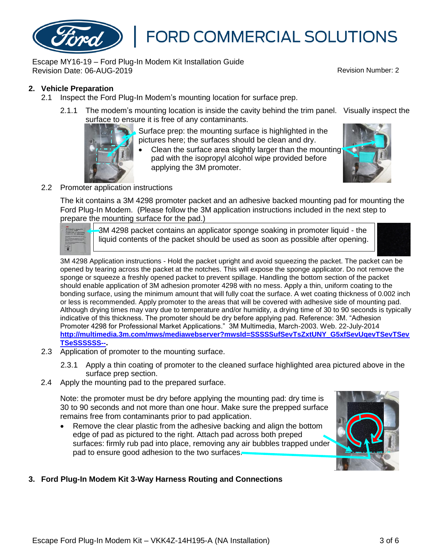

Escape MY16-19 – Ford Plug-In Modem Kit Installation Guide Revision Date: 06-AUG-2019 Revision Number: 2

#### **2. Vehicle Preparation**

- 2.1 Inspect the Ford Plug-In Modem's mounting location for surface prep.
	- 2.1.1 The modem's mounting location is inside the cavity behind the trim panel. Visually inspect the surface to ensure it is free of any contaminants.

Surface prep: the mounting surface is highlighted in the pictures here; the surfaces should be clean and dry.

Clean the surface area slightly larger than the mounting pad with the isopropyl alcohol wipe provided before applying the 3M promoter.



#### 2.2 Promoter application instructions

The kit contains a 3M 4298 promoter packet and an adhesive backed mounting pad for mounting the Ford Plug-In Modem. (Please follow the 3M application instructions included in the next step to prepare the mounting surface for the pad.)



3M 4298 packet contains an applicator sponge soaking in promoter liquid - the liquid contents of the packet should be used as soon as possible after opening.



3M 4298 Application instructions - Hold the packet upright and avoid squeezing the packet. The packet can be opened by tearing across the packet at the notches. This will expose the sponge applicator. Do not remove the sponge or squeeze a freshly opened packet to prevent spillage. Handling the bottom section of the packet should enable application of 3M adhesion promoter 4298 with no mess. Apply a thin, uniform coating to the bonding surface, using the minimum amount that will fully coat the surface. A wet coating thickness of 0.002 inch or less is recommended. Apply promoter to the areas that will be covered with adhesive side of mounting pad. Although drying times may vary due to temperature and/or humidity, a drying time of 30 to 90 seconds is typically indicative of this thickness. The promoter should be dry before applying pad. Reference: 3M. "Adhesion Promoter 4298 for Professional Market Applications." 3M Multimedia, March-2003. Web. 22-July-2014 **[http://multimedia.3m.com/mws/mediawebserver?mwsId=SSSSSufSevTsZxtUNY\\_G5xfSevUqevTSevTSev](http://multimedia.3m.com/mws/mediawebserver?mwsId=SSSSSufSevTsZxtUNY_G5xfSevUqevTSevTSevTSeSSSSSS--) [TSeSSSSSS--](http://multimedia.3m.com/mws/mediawebserver?mwsId=SSSSSufSevTsZxtUNY_G5xfSevUqevTSevTSevTSeSSSSSS--).**

- 2.3 Application of promoter to the mounting surface.
	- 2.3.1 Apply a thin coating of promoter to the cleaned surface highlighted area pictured above in the surface prep section.
- 2.4 Apply the mounting pad to the prepared surface.

Note: the promoter must be dry before applying the mounting pad: dry time is 30 to 90 seconds and not more than one hour. Make sure the prepped surface remains free from contaminants prior to pad application.

• Remove the clear plastic from the adhesive backing and align the bottom edge of pad as pictured to the right. Attach pad across both preped surfaces: firmly rub pad into place, removing any air bubbles trapped under pad to ensure good adhesion to the two surfaces.



#### **3. Ford Plug-In Modem Kit 3-Way Harness Routing and Connections**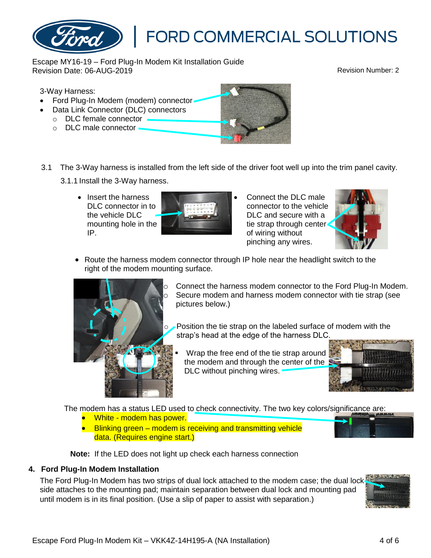Escape MY16-19 – Ford Plug-In Modem Kit Installation Guide Revision Date: 06-AUG-2019

#### 3-Way Harness:

- Ford Plug-In Modem (modem) connector-
- Data Link Connector (DLC) connectors
	- o DLC female connector
	- o DLC male connector -
- 3.1 The 3-Way harness is installed from the left side of the driver foot well up into the trim panel cavity. 3.1.1 Install the 3-Way harness.
	- Insert the harness DLC connector in to the vehicle DLC mounting hole in the IP.

DLC and secure with a tie strap through center of wiring without pinching any wires.

• Connect the DLC male connector to the vehicle

• Route the harness modem connector through IP hole near the headlight switch to the right of the modem mounting surface.

> Connect the harness modem connector to the Ford Plug-In Modem. Secure modem and harness modem connector with tie strap (see pictures below.)

Position the tie strap on the labeled surface of modem with the strap's head at the edge of the harness DLC.

Wrap the free end of the tie strap around the modem and through the center of the DLC without pinching wires.

The modem has a status LED used to check connectivity. The two key colors/significance are:

- White modem has power.
- Blinking green modem is receiving and transmitting vehicle data. (Requires engine start.)

**Note:** If the LED does not light up check each harness connection

#### **4. Ford Plug-In Modem Installation**

The Ford Plug-In Modem has two strips of dual lock attached to the modem case; the dual lock side attaches to the mounting pad; maintain separation between dual lock and mounting pad until modem is in its final position. (Use a slip of paper to assist with separation.)











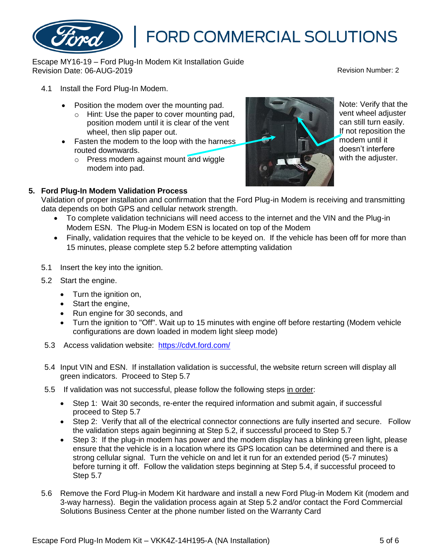## **5. Ford Plug-In Modem Validation Process**

routed downwards.

modem into pad.

4.1 Install the Ford Plug-In Modem.

Validation of proper installation and confirmation that the Ford Plug-in Modem is receiving and transmitting data depends on both GPS and cellular network strength.

- To complete validation technicians will need access to the internet and the VIN and the Plug-in Modem ESN. The Plug-in Modem ESN is located on top of the Modem
- Finally, validation requires that the vehicle to be keyed on. If the vehicle has been off for more than 15 minutes, please complete step 5.2 before attempting validation
- 5.1 Insert the key into the ignition.
- 5.2 Start the engine.
	- Turn the ignition on,
	- Start the engine,
	- Run engine for 30 seconds, and
	- Turn the ignition to "Off". Wait up to 15 minutes with engine off before restarting (Modem vehicle configurations are down loaded in modem light sleep mode)
- 5.3 Access validation website: <https://cdvt.ford.com/>

Escape MY16-19 – Ford Plug-In Modem Kit Installation Guide

• Position the modem over the mounting pad.

wheel, then slip paper out.

o Hint: Use the paper to cover mounting pad, position modem until it is clear of the vent

o Press modem against mount and wiggle

- 5.4 Input VIN and ESN. If installation validation is successful, the website return screen will display all green indicators. Proceed to Step 5.7
- 5.5 If validation was not successful, please follow the following steps in order:
	- Step 1: Wait 30 seconds, re-enter the required information and submit again, if successful proceed to Step 5.7
	- Step 2: Verify that all of the electrical connector connections are fully inserted and secure. Follow the validation steps again beginning at Step 5.2, if successful proceed to Step 5.7
	- Step 3: If the plug-in modem has power and the modem display has a blinking green light, please ensure that the vehicle is in a location where its GPS location can be determined and there is a strong cellular signal. Turn the vehicle on and let it run for an extended period (5-7 minutes) before turning it off. Follow the validation steps beginning at Step 5.4, if successful proceed to Step 5.7
- 5.6 Remove the Ford Plug-in Modem Kit hardware and install a new Ford Plug-in Modem Kit (modem and 3-way harness). Begin the validation process again at Step 5.2 and/or contact the Ford Commercial Solutions Business Center at the phone number listed on the Warranty Card



**FORD COMMERCIAL SOLUTIONS** 



### Revision Date: 06-AUG-2019

Note: Verify that the vent wheel adjuster can still turn easily. If not reposition the modem until it doesn't interfere with the adiuster.